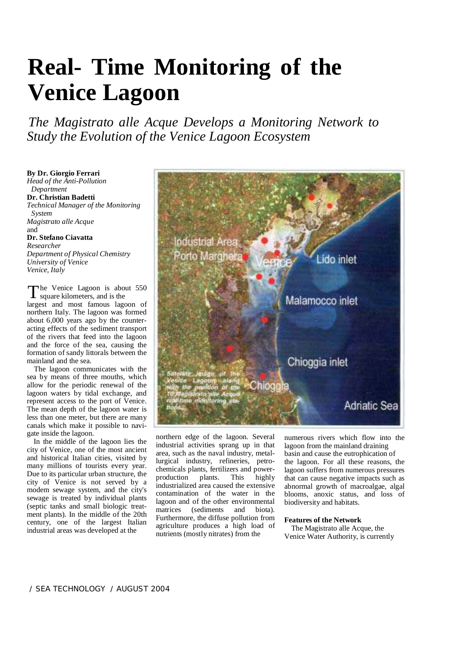# **Real- Time Monitoring of the Venice Lagoon**

*The Magistrato alle Acque Develops a Monitoring Network to Study the Evolution of the Venice Lagoon Ecosystem*

**By Dr. Giorgio Ferrari**  *Head of the Anti-Pollution Department*  **Dr. Christian Badetti**  *Technical Manager of the Monitoring System Magistrato alle Acque*  and **Dr. Stefano Ciavatta**  *Researcher Department of Physical Chemistry University of Venice* 

The Venice Lagoon is about 550 square kilometers, and is the

*Venice, Italy*

largest and most famous lagoon of northern Italy. The lagoon was formed about 6,000 years ago by the counteracting effects of the sediment transport of the rivers that feed into the lagoon and the force of the sea, causing the formation of sandy littorals between the mainland and the sea.

The lagoon communicates with the sea by means of three mouths, which allow for the periodic renewal of the lagoon waters by tidal exchange, and represent access to the port of Venice. The mean depth of the lagoon water is less than one meter, but there are many canals which make it possible to navigate inside the lagoon.

In the middle of the lagoon lies the city of Venice, one of the most ancient and historical Italian cities, visited by many millions of tourists every year. Due to its particular urban structure, the city of Venice is not served by a modem sewage system, and the city's sewage is treated by individual plants (septic tanks and small biologic treatment plants). In the middle of the 20th century, one of the largest Italian industrial areas was developed at the



northern edge of the lagoon. Several industrial activities sprang up in that area, such as the naval industry, metallurgical industry, refineries, petrochemicals plants, fertilizers and powerproduction plants. This highly industrialized area caused the extensive contamination of the water in the lagoon and of the other environmental matrices (sediments and biota). Furthermore, the diffuse pollution from agriculture produces a high load of nutrients (mostly nitrates) from the

numerous rivers which flow into the lagoon from the mainland draining basin and cause the eutrophication of the lagoon. For all these reasons, the lagoon suffers from numerous pressures that can cause negative impacts such as abnormal growth of macroalgae, algal blooms, anoxic status, and loss of biodiversity and habitats.

## **Features of the Network**

 The Magistrato alle Acque, the Venice Water Authority, is currently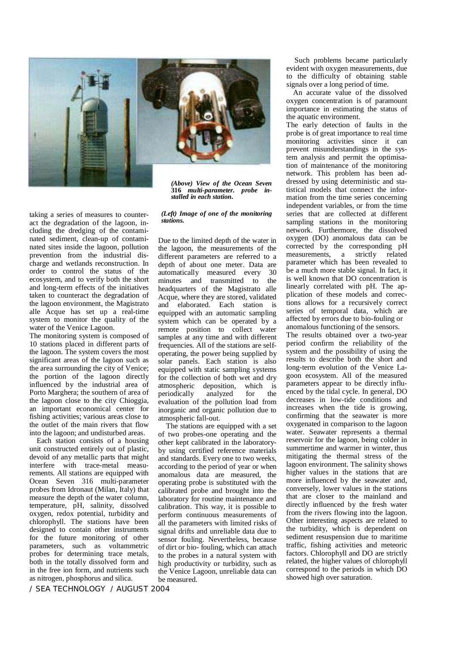

*(Above) View of the Ocean Seven*  **<sup>316</sup>***multi-parameter. probe in- stalled in each station.*

*(Left) Image of one of the monitoring stations.* 

taking a series of measures to counteract the degradation of the lagoon, including the dredging of the contaminated sediment, clean-up of contaminated sites inside the lagoon, pollution prevention from the industrial discharge and wetlands reconstruction. In order to control the status of the ecosystem, and to verify both the short and long-term effects of the initiatives taken to counteract the degradation of the lagoon environment, the Magistrato alle Acque has set up a real-time system to monitor the quality of the water of the Venice Lagoon.

The monitoring system is composed of 10 stations placed in different parts of the lagoon. The system covers the most significant areas of the lagoon such as the area surrounding the city of Venice; the portion of the lagoon directly influenced by the industrial area of Porto Marghera; the southern of area of the lagoon close to the city Chioggia, an important economical center for fishing activities; various areas close to the outlet of the main rivers that flow into the lagoon; and undisturbed areas.

Each station consists of a housing unit constructed entirely out of plastic, devoid of any metallic parts that might interfere with trace-metal measurements. All stations are equipped with Ocean Seven 316 multi-parameter probes from Idronaut (Milan, Italy) that measure the depth of the water column, temperature, pH, salinity, dissolved oxygen, redox potential, turbidity and chlorophyll. The stations have been designed to contain other instruments for the future monitoring of other parameters, such as voltammetric probes for determining trace metals, both in the totally dissolved form and in the free ion form, and nutrients such as nitrogen, phosphorus and silica.

Due to the limited depth of the water in the lagoon, the measurements of the different parameters are referred to a depth of about one meter. Data are automatically measured every 30 minutes and transmitted to the headquarters of the Magistrato alle Acque, where they are stored, validated and elaborated. Each station is equipped with an automatic sampling system which can be operated by a remote position to collect water samples at any time and with different frequencies. All of the stations are selfoperating, the power being supplied by solar panels. Each station is also equipped with static sampling systems for the collection of both wet and dry atmospheric deposition, which is periodically analyzed for the evaluation of the pollution load from inorganic and organic pollution due to atmospheric fall-out.

The stations are equipped with a set of two probes-one operating and the other kept calibrated in the laboratoryby using certified reference materials and standards. Every one to two weeks, according to the period of year or when anomalous data are measured, the operating probe is substituted with the calibrated probe and brought into the laboratory for routine maintenance and calibration. This way, it is possible to perform continuous measurements of all the parameters with limited risks of signal drifts and unreliable data due to sensor fouling. Nevertheless, because of dirt or bio- fouling, which can attach to the probes in a natural system with high productivity or turbidity, such as the Venice Lagoon, unreliable data can be measured.

Such problems became particularly evident with oxygen measurements, due to the difficulty of obtaining stable signals over a long period of time.

An accurate value of the dissolved oxygen concentration is of paramount importance in estimating the status of the aquatic environment.

The early detection of faults in the probe is of great importance to real time monitoring activities since it can prevent misunderstandings in the system analysis and permit the optimisation of maintenance of the monitoring network. This problem has been addressed by using deterministic and statistical models that connect the information from the time series concerning independent variables, or from the time series that are collected at different sampling stations in the monitoring network. Furthermore, the dissolved oxygen (DO) anomalous data can be corrected by the corresponding pH measurements, a strictly related parameter which has been revealed to be a much more stable signal. In fact, it is well known that DO concentration is linearly correlated with pH. The application of these models and corrections allows for a recursively correct series of temporal data, which are affected by errors due to bio-fouling or anomalous functioning of the sensors.

The results obtained over a two-year period confirm the reliability of the system and the possibility of using the results to describe both the short and long-term evolution of the Venice Lagoon ecosystem. All of the measured parameters appear to be directly influenced by the tidal cycle. In general, DO decreases in low-tide conditions and increases when the tide is growing, confirming that the seawater is more oxygenated in comparison to the lagoon water. Seawater represents a thermal reservoir for the lagoon, being colder in summertime and warmer in winter, thus mitigating the thermal stress of the lagoon environment. The salinity shows higher values in the stations that are more influenced by the seawater and, conversely, lower values in the stations that are closer to the mainland and directly influenced by the fresh water from the rivers flowing into the lagoon. Other interesting aspects are related to the turbidity, which is dependent on sediment resuspension due to maritime traffic, fishing activities and meteoric factors. Chlorophyll and DO are strictly related, the higher values of chlorophyll correspond to the periods in which DO showed high over saturation.

 */ SEA TECHNOLOGY / AUGUST 2004*